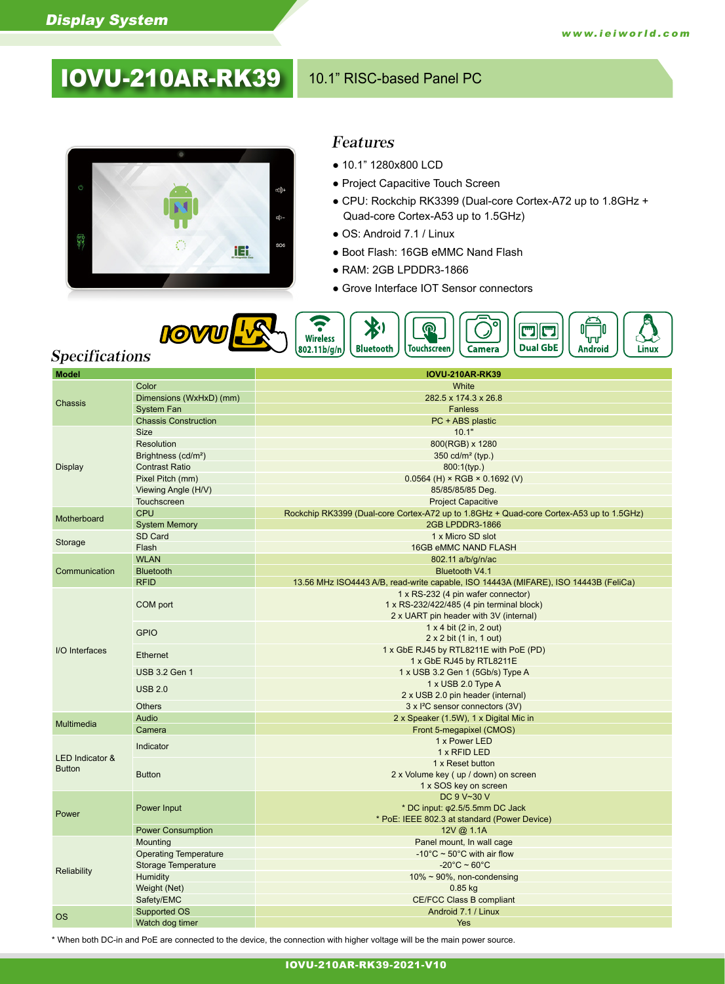# **IOVU-210AR-RK39** 10.1" RISC-based Panel PC



#### Features

- 10.1" 1280x800 LCD
- Project Capacitive Touch Screen
- CPU: Rockchip RK3399 (Dual-core Cortex-A72 up to 1.8GHz + Quad-core Cortex-A53 up to 1.5GHz)
- OS: Android 7.1 / Linux
- Boot Flash: 16GB eMMC Nand Flash
- RAM: 2GB LPDDR3-1866
- Grove Interface IOT Sensor connectors



# Specifications

| <b>Model</b>               |                                 | <b>IOVU-210AR-RK39</b>                                                                  |
|----------------------------|---------------------------------|-----------------------------------------------------------------------------------------|
|                            | Color                           | White                                                                                   |
| Chassis                    | Dimensions (WxHxD) (mm)         | 282.5 x 174.3 x 26.8                                                                    |
|                            | <b>System Fan</b>               | <b>Fanless</b>                                                                          |
|                            | <b>Chassis Construction</b>     | PC + ABS plastic                                                                        |
|                            | <b>Size</b>                     | 10.1"                                                                                   |
| Display                    | Resolution                      | 800(RGB) x 1280                                                                         |
|                            | Brightness (cd/m <sup>2</sup> ) | 350 $cd/m^2$ (typ.)                                                                     |
|                            | <b>Contrast Ratio</b>           | $800:1$ (typ.)                                                                          |
|                            | Pixel Pitch (mm)                | $0.0564$ (H) × RGB × 0.1692 (V)                                                         |
|                            | Viewing Angle (H/V)             | 85/85/85/85 Deg.                                                                        |
|                            | <b>Touchscreen</b>              | <b>Project Capacitive</b>                                                               |
| Motherboard                | <b>CPU</b>                      | Rockchip RK3399 (Dual-core Cortex-A72 up to 1.8GHz + Quad-core Cortex-A53 up to 1.5GHz) |
|                            | <b>System Memory</b>            | 2GB LPDDR3-1866                                                                         |
|                            | SD Card                         | 1 x Micro SD slot                                                                       |
| Storage                    | Flash                           | <b>16GB eMMC NAND FLASH</b>                                                             |
|                            | <b>WLAN</b>                     | 802.11 a/b/g/n/ac                                                                       |
| Communication              | <b>Bluetooth</b>                | <b>Bluetooth V4.1</b>                                                                   |
|                            | <b>RFID</b>                     | 13.56 MHz ISO4443 A/B, read-write capable, ISO 14443A (MIFARE), ISO 14443B (FeliCa)     |
|                            |                                 | 1 x RS-232 (4 pin wafer connector)                                                      |
|                            | COM port                        | 1 x RS-232/422/485 (4 pin terminal block)                                               |
| I/O Interfaces             |                                 | 2 x UART pin header with 3V (internal)                                                  |
|                            |                                 | $1 \times 4$ bit (2 in, 2 out)                                                          |
|                            | <b>GPIO</b>                     | $2 \times 2$ bit (1 in, 1 out)                                                          |
|                            |                                 | 1 x GbE RJ45 by RTL8211E with PoE (PD)                                                  |
|                            | Ethernet                        | 1 x GbE RJ45 by RTL8211E                                                                |
|                            | <b>USB 3.2 Gen 1</b>            | 1 x USB 3.2 Gen 1 (5Gb/s) Type A                                                        |
|                            | <b>USB 2.0</b>                  | 1 x USB 2.0 Type A                                                                      |
|                            |                                 | 2 x USB 2.0 pin header (internal)                                                       |
|                            | <b>Others</b>                   | 3 x <sup>2</sup> C sensor connectors (3V)                                               |
| Multimedia                 | Audio                           | 2 x Speaker (1.5W), 1 x Digital Mic in                                                  |
|                            | Camera                          | Front 5-megapixel (CMOS)                                                                |
| <b>LED Indicator &amp;</b> | Indicator                       | 1 x Power LED                                                                           |
|                            |                                 | 1 x RFID LED                                                                            |
| <b>Button</b>              | <b>Button</b>                   | 1 x Reset button                                                                        |
|                            |                                 | 2 x Volume key (up / down) on screen                                                    |
|                            |                                 | 1 x SOS key on screen                                                                   |
| Power                      |                                 | DC 9 V~30 V                                                                             |
|                            | Power Input                     | * DC input: $\varphi$ 2.5/5.5mm DC Jack                                                 |
|                            |                                 | * PoE: IEEE 802.3 at standard (Power Device)                                            |
|                            | <b>Power Consumption</b>        | 12V @ 1.1A                                                                              |
|                            | Mounting                        | Panel mount, In wall cage                                                               |
| Reliability                | <b>Operating Temperature</b>    | -10 $^{\circ}$ C ~ 50 $^{\circ}$ C with air flow                                        |
|                            | <b>Storage Temperature</b>      | $-20^{\circ}$ C ~ 60 $^{\circ}$ C                                                       |
|                            | Humidity                        | $10\% \sim 90\%$ , non-condensing                                                       |
|                            | Weight (Net)                    | $0.85$ kg                                                                               |
|                            | Safety/EMC                      | <b>CE/FCC Class B compliant</b>                                                         |
| <b>OS</b>                  | Supported OS                    | Android 7.1 / Linux                                                                     |
|                            | Watch dog timer                 | <b>Yes</b>                                                                              |

\* When both DC-in and PoE are connected to the device, the connection with higher voltage will be the main power source.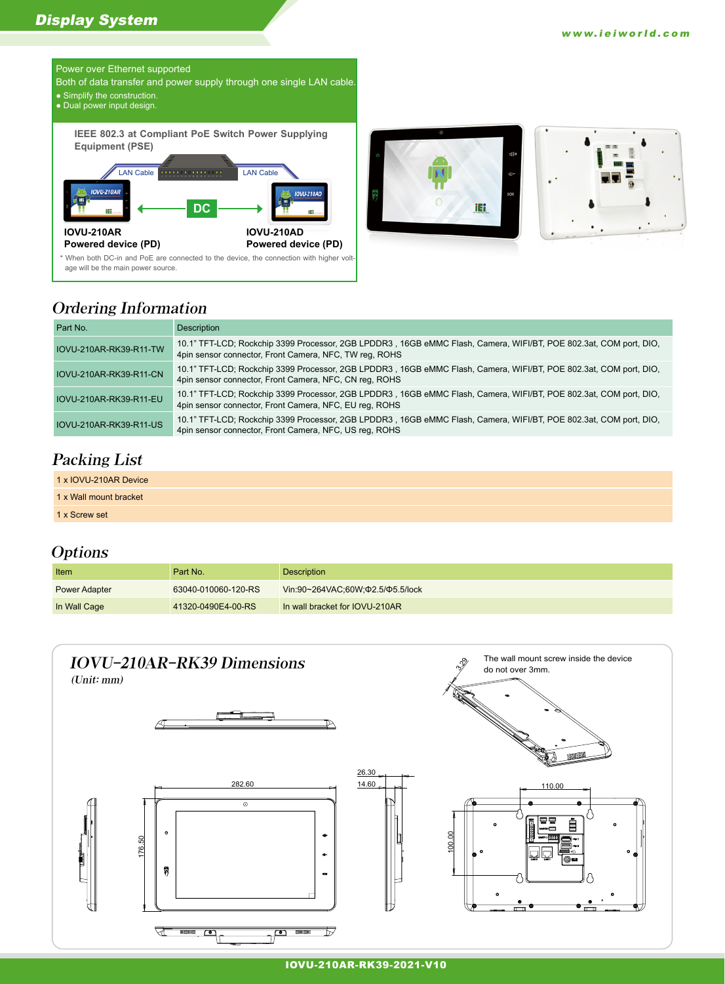### Display System



- Both of data transfer and power supply through one single LAN cable.
- Simplify the construction.
- Dual power input design.

**IEEE 802.3 at Compliant PoE Switch Power Supplying Equipment (PSE)**







# Ordering Information

| Part No.                      | Description                                                                                                                                                                 |
|-------------------------------|-----------------------------------------------------------------------------------------------------------------------------------------------------------------------------|
| IOVU-210AR-RK39-R11-TW        | 10.1" TFT-LCD; Rockchip 3399 Processor, 2GB LPDDR3, 16GB eMMC Flash, Camera, WIFI/BT, POE 802.3at, COM port, DIO,<br>4pin sensor connector, Front Camera, NFC, TW reg, ROHS |
| IOVU-210AR-RK39-R11-CN        | 10.1" TFT-LCD; Rockchip 3399 Processor, 2GB LPDDR3, 16GB eMMC Flash, Camera, WIFI/BT, POE 802.3at, COM port, DIO,<br>4pin sensor connector, Front Camera, NFC, CN reg, ROHS |
| IOVU-210AR-RK39-R11-EU        | 10.1" TFT-LCD; Rockchip 3399 Processor, 2GB LPDDR3, 16GB eMMC Flash, Camera, WIFI/BT, POE 802.3at, COM port, DIO,<br>4pin sensor connector, Front Camera, NFC, EU reg, ROHS |
| <b>IOVU-210AR-RK39-R11-US</b> | 10.1" TFT-LCD; Rockchip 3399 Processor, 2GB LPDDR3, 16GB eMMC Flash, Camera, WIFI/BT, POE 802.3at, COM port, DIO,<br>4pin sensor connector, Front Camera, NFC, US reg, ROHS |

# Packing List

1 x Wall mount bracket

1 x Screw set

## **Options**

| Item                 | Part No.            | <b>Description</b>               |
|----------------------|---------------------|----------------------------------|
| <b>Power Adapter</b> | 63040-010060-120-RS | Vin:90~264VAC:60W:02.5/05.5/lock |
| In Wall Cage         | 41320-0490E4-00-RS  | In wall bracket for IOVU-210AR   |